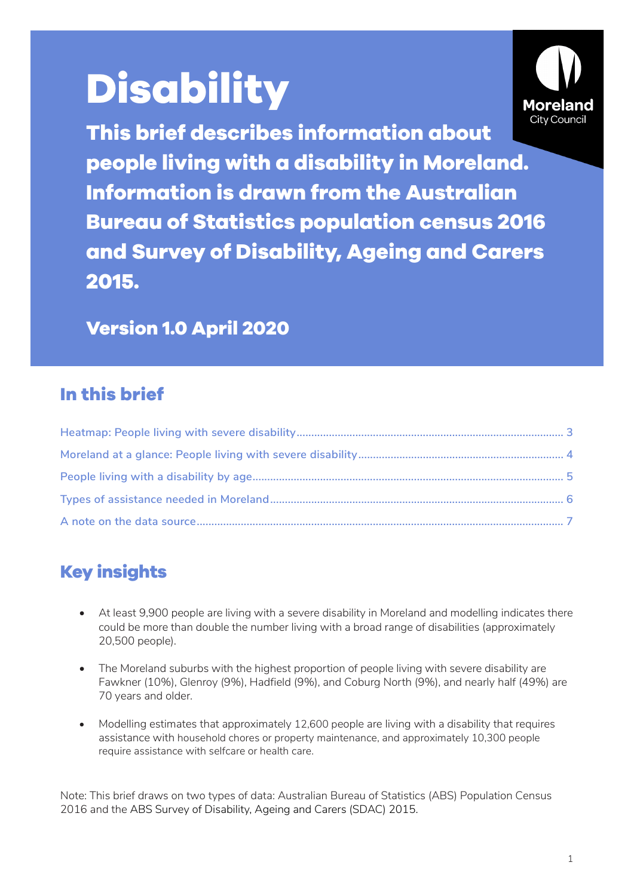# **Disability**



**This brief describes information about people living with a disability in Moreland. Information is drawn from the Australian Bureau of Statistics population census 2016 and Survey of Disability, Ageing and Carers 2015.**

**Version 1.0 April 2020**

### **In this brief**

# **Key insights**

- At least 9,900 people are living with a severe disability in Moreland and modelling indicates there could be more than double the number living with a broad range of disabilities (approximately 20,500 people).
- The Moreland suburbs with the highest proportion of people living with severe disability are Fawkner (10%), Glenroy (9%), Hadfield (9%), and Coburg North (9%), and nearly half (49%) are 70 years and older.
- Modelling estimates that approximately 12,600 people are living with a disability that requires assistance with household chores or property maintenance, and approximately 10,300 people require assistance with selfcare or health care.

Note: This brief draws on two types of data: Australian Bureau of Statistics (ABS) Population Census 2016 and the ABS Survey of Disability, Ageing and Carers (SDAC) 2015.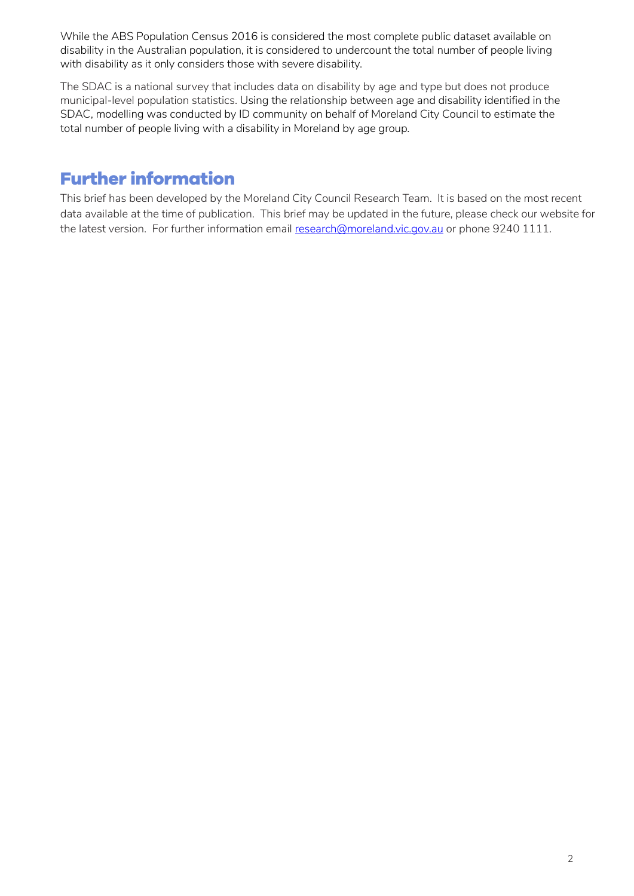While the ABS Population Census 2016 is considered the most complete public dataset available on disability in the Australian population, it is considered to undercount the total number of people living with disability as it only considers those with severe disability.

The SDAC is a national survey that includes data on disability by age and type but does not produce municipal-level population statistics. Using the relationship between age and disability identified in the SDAC, modelling was conducted by ID community on behalf of Moreland City Council to estimate the total number of people living with a disability in Moreland by age group.

## **Further information**

This brief has been developed by the Moreland City Council Research Team. It is based on the most recent data available at the time of publication. This brief may be updated in the future, please check our website for the latest version. For further information email [research@moreland.vic.gov.au](mailto:research@moreland.vic.gov.au) or phone 9240 1111.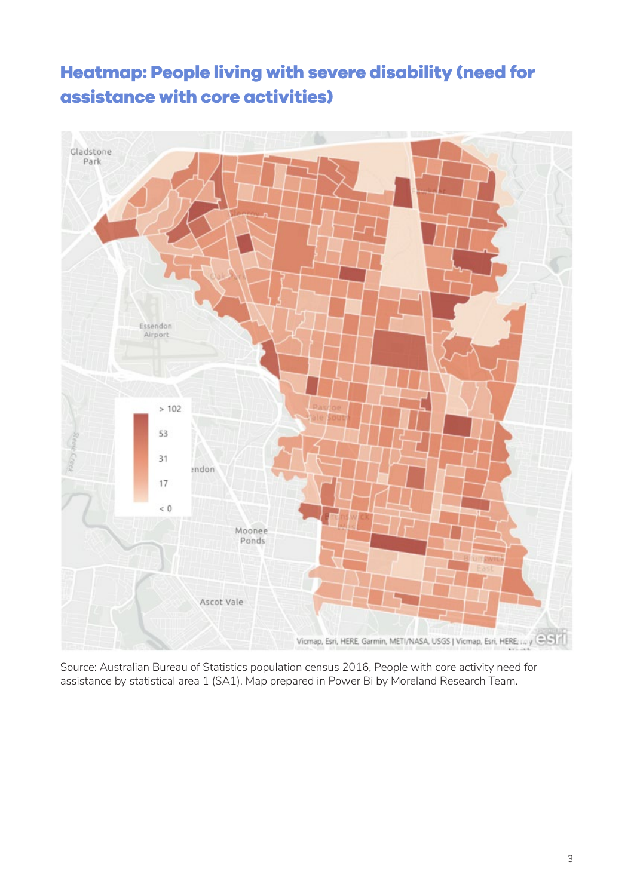# <span id="page-2-0"></span>**Heatmap: People living with severe disability (need for assistance with core activities)**



Source: Australian Bureau of Statistics population census 2016, People with core activity need for assistance by statistical area 1 (SA1). Map prepared in Power Bi by Moreland Research Team.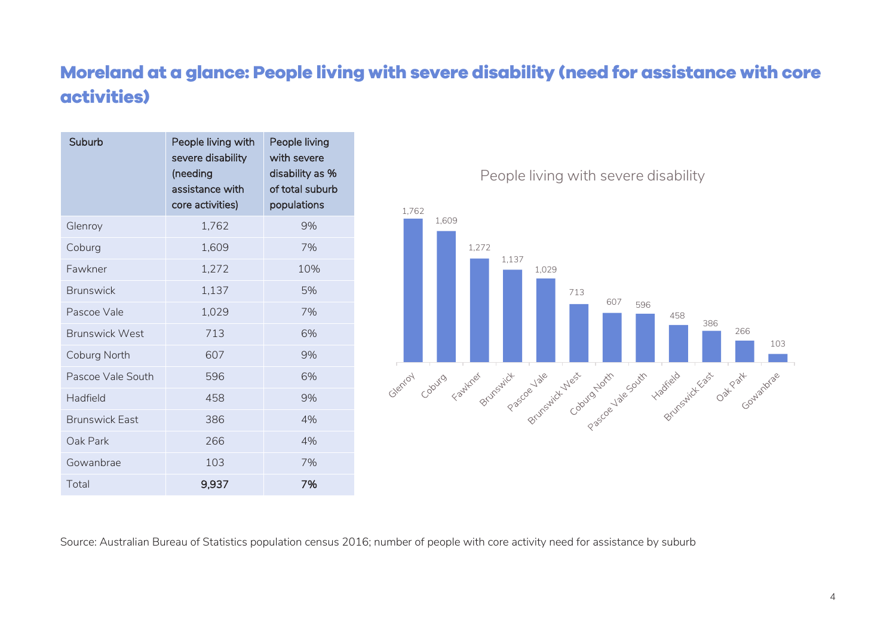## **Moreland at a glance: People living with severe disability (need for assistance with core activities)**

<span id="page-3-0"></span>

| Suburb                | People living with<br>severe disability<br>(needing<br>assistance with<br>core activities) | People living<br>with severe<br>disability as %<br>of total suburb<br>populations |
|-----------------------|--------------------------------------------------------------------------------------------|-----------------------------------------------------------------------------------|
| Glenroy               | 1,762                                                                                      | 9%                                                                                |
| Coburg                | 1,609                                                                                      | 7%                                                                                |
| Fawkner               | 1,272                                                                                      | 10%                                                                               |
| <b>Brunswick</b>      | 1,137                                                                                      | 5%                                                                                |
| Pascoe Vale           | 1,029                                                                                      | 7%                                                                                |
| <b>Brunswick West</b> | 713                                                                                        | 6%                                                                                |
| Coburg North          | 607                                                                                        | 9%                                                                                |
| Pascoe Vale South     | 596                                                                                        | 6%                                                                                |
| Hadfield              | 458                                                                                        | 9%                                                                                |
| <b>Brunswick Fast</b> | 386                                                                                        | 4%                                                                                |
| Oak Park              | 266                                                                                        | 4%                                                                                |
| Gowanbrae             | 103                                                                                        | 7%                                                                                |
| Total                 | 9,937                                                                                      | 7%                                                                                |

People living with severe disability



Source: Australian Bureau of Statistics population census 2016; number of people with core activity need for assistance by suburb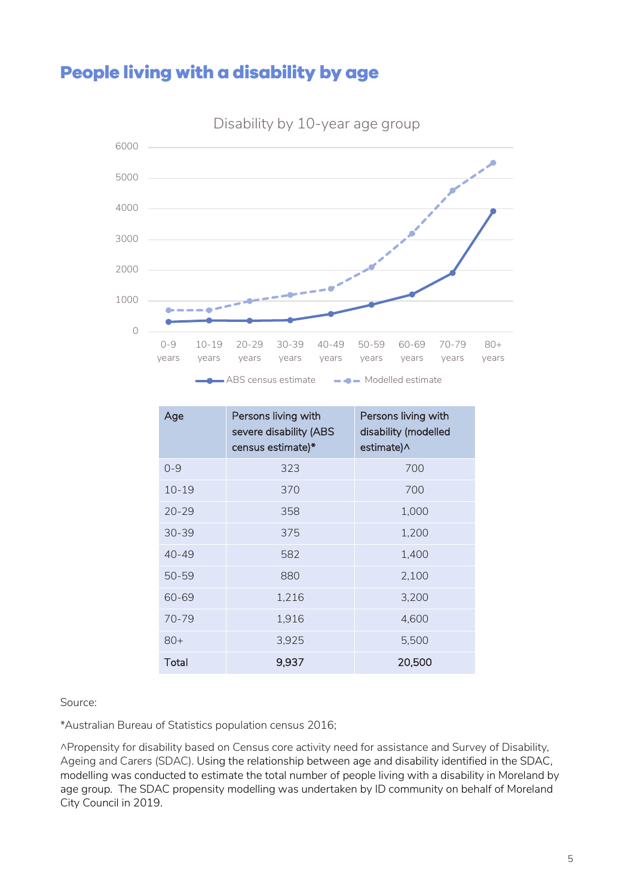## <span id="page-4-0"></span>**People living with a disability by age**



Disability by 10-year age group

| Age       | Persons living with<br>severe disability (ABS<br>census estimate)* | Persons living with<br>disability (modelled<br>estimate)^ |
|-----------|--------------------------------------------------------------------|-----------------------------------------------------------|
| $0 - 9$   | 323                                                                | 700                                                       |
| $10 - 19$ | 370                                                                | 700                                                       |
| $20 - 29$ | 358                                                                | 1,000                                                     |
| $30 - 39$ | 375                                                                | 1,200                                                     |
| $40 - 49$ | 582                                                                | 1,400                                                     |
| $50 - 59$ | 880                                                                | 2,100                                                     |
| 60-69     | 1,216                                                              | 3,200                                                     |
| 70-79     | 1,916                                                              | 4,600                                                     |
| $80+$     | 3,925                                                              | 5,500                                                     |
| Total     | 9,937                                                              | 20,500                                                    |

Source:

\*Australian Bureau of Statistics population census 2016;

^Propensity for disability based on Census core activity need for assistance and Survey of Disability, Ageing and Carers (SDAC). Using the relationship between age and disability identified in the SDAC, modelling was conducted to estimate the total number of people living with a disability in Moreland by age group. The SDAC propensity modelling was undertaken by ID community on behalf of Moreland City Council in 2019.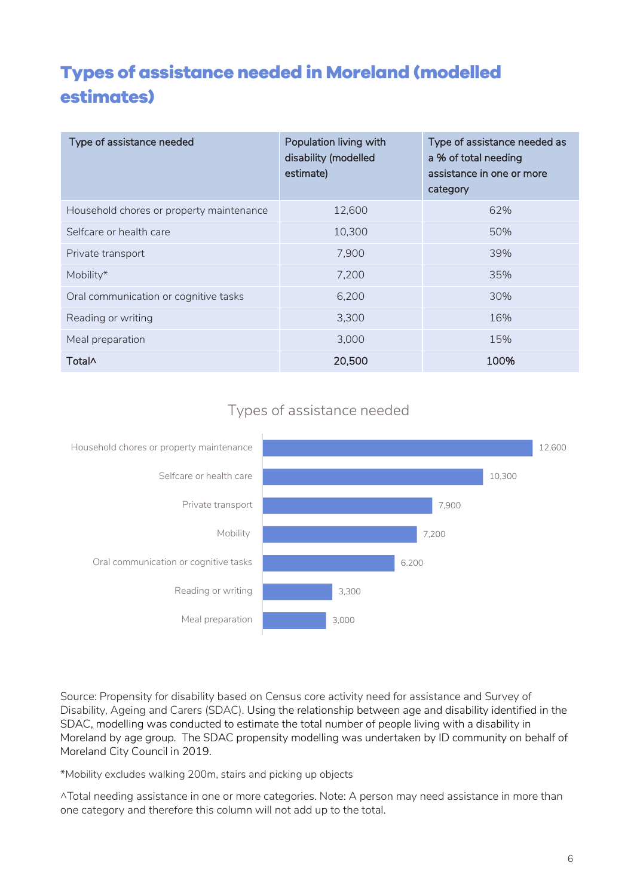# <span id="page-5-0"></span>**Types of assistance needed in Moreland (modelled estimates)**

| Type of assistance needed                | Population living with<br>disability (modelled<br>estimate) | Type of assistance needed as<br>a % of total needing<br>assistance in one or more<br>category |
|------------------------------------------|-------------------------------------------------------------|-----------------------------------------------------------------------------------------------|
| Household chores or property maintenance | 12,600                                                      | 62%                                                                                           |
| Selfcare or health care                  | 10,300                                                      | 50%                                                                                           |
| Private transport                        | 7,900                                                       | 39%                                                                                           |
| Mobility*                                | 7,200                                                       | 35%                                                                                           |
| Oral communication or cognitive tasks    | 6,200                                                       | 30%                                                                                           |
| Reading or writing                       | 3,300                                                       | 16%                                                                                           |
| Meal preparation                         | 3,000                                                       | 15%                                                                                           |
| <b>Total</b>                             | 20,500                                                      | 100%                                                                                          |

#### Types of assistance needed



Source: Propensity for disability based on Census core activity need for assistance and Survey of Disability, Ageing and Carers (SDAC). Using the relationship between age and disability identified in the SDAC, modelling was conducted to estimate the total number of people living with a disability in Moreland by age group. The SDAC propensity modelling was undertaken by ID community on behalf of Moreland City Council in 2019.

\*Mobility excludes walking 200m, stairs and picking up objects

^Total needing assistance in one or more categories. Note: A person may need assistance in more than one category and therefore this column will not add up to the total.